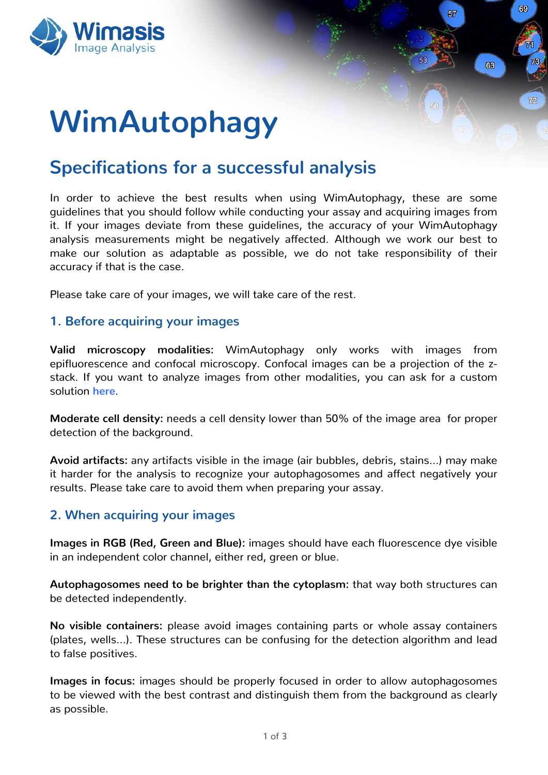# Z Ip Dxw skdj |

# Vshf lilf dwr qv ir ud vxff hvvi xodqdo vlv

Lq r ughu wr df klhyh wkh ehvw uhvxow z khq xvlqi Z lp Dxwr skdj | / wkhvh duh vr p h j xlgholqhv wkdw| r x vkr xog ir oor z z kloh fr qgxfwlqj | r xudvvd| dqg dft xlulqj lp dj hv iur p lw1 Li | r xu lp dj hv ghyldwh iur p wkhvh j xlgholqhv/wkh dff xudf | ri | r xu Z lp Dxwr skdj | dadd vlv p hdvxuhp haw p li kw eh ahi dwwhol diihf what Dowkr xi k z h z r un r xu ehvw wr p dnh r xu vr oxwlr q dv dadswdedn dv sr vvledn/z h ar gr w wdnh uhvsr qvlelolw r i wkhlu df f xudf | li wkdwlv wkh f dvh1

Sohdyh wdnh f duh r i | r xulp di hy/ z h z loowdnh f duh r i wkh uhvw1

#### 41Ehir uh df t xlulqj | r xulp dj hv

Yddig p lf ur vfrsl p r gddwhy = Z lp Dxwr skdil r gd z r unv z lwk lp di hv iur p hslioxr uhvf haf h dag fr gir f dop lf ur vfrst 1 Fr gir f dolp di hv f da eh d sur mhf wh g r i wkh  $\overline{10}$ vwdfn1 Li | r x z dqwwr dqdo| }h lp dj hv iur p rwkhu p r gdolwlhv/ | r x fdq dvn ir u d f xvwr p  $vr$   $\alpha$   $wr$   $\alpha$   $k$   $h$   $th$   $1$ 

P r ghudwh f hooghqvlw =qhhqv d f hooghqvlw or z huwkdq 83( r i wkh lp di h duhd ir usur shu ghwhf wlr q r i wkh edf nj ur xqg1

Dyr la duwlidf w=dal duwlidf w ylyledn la wkh lp di h +dluexeedny/ aheuly/ ywdlay\*, p dl p dnh lwkdughu ir u wkh dqdo| vlv wr uhf r j ql}h | r xu dxwr skdj r vr p hv dqg diihf wqhj dwlyho| | r xu uhvxow1Sohdvh wdnh fduh wr dyr lg wkhp z khq suhsdulqi | r xudvvd| 1

#### 51Z khq df t xlulqj | r xulp dj hv

Lp dj hv lq UJ E +Uhg/ J uhhq dqg Eoxh,=lp dj hv vkr xog kdyh hdf k ioxr uhvf hqf h g| h ylvleoh lq dq lqghshqqhqwf r  $\sigma$  uf kdqqh $\phi$  hlwkhuuhg/ j uhhq r ue $\alpha$ h1

Dxwr skdj r vr p hv qhhq wr eh eulj kwhu wkdq wkh f wr sodvp =wkdwz d er wk vwuxf wxuhv fdq eh ghwhf whg lqghshqqhqwo 1

Qr ylvledn fr qwdlqhw= sohdvh dyr lg lp di hv fr qwdlqlqi sduwr u z kroh dvvd| fr qwdlqhuv +sodwhv/ z hoov\* ,1Wkhvh vwuxf wxuhv f dq eh f r qixvlqj ir u wkh ghwhf wlr q doj r ulwkp dqg ohdg wr idovh sr vlwlyhv1

Lp dj hv lq ir f xv=lp dj hv vkr xog eh sur shuo| ir f xvhg lq r ughu wr door z dxwr skdj r vr p hv wr eh ylhz hg z lwk wkh ehvwf r qwudvwdqg glvwlqj xlvk wkhp iur p wkh edf nj ur xqg dv f ohduo dv sr vvledn1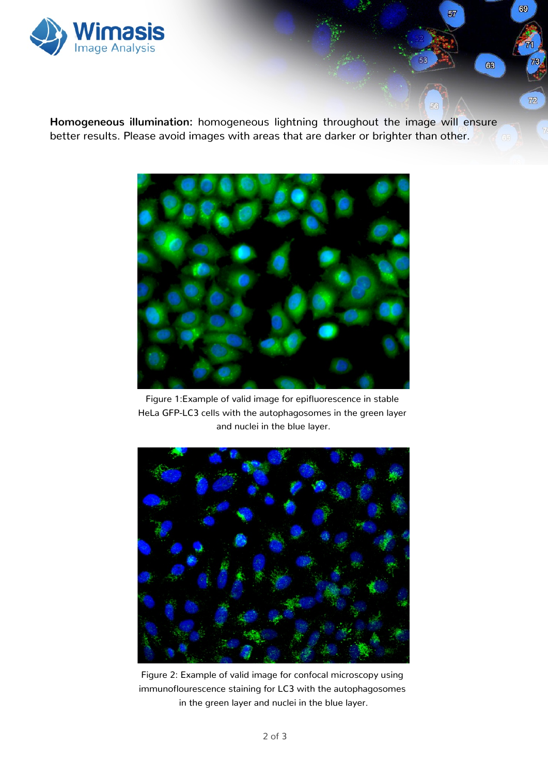

**Homogeneous illumination:** homogeneous lightning throughout the image will ensure better results. Please avoid images with areas that are darker or brighter than other.

 $69$ 

 $72$ 

 $63$ 

57

56



Figure 1:Example of valid image for epifluorescence in stable HeLa GFP-LC3 cells with the autophagosomes in the green layer and nuclei in the blue layer.



Figure 2: Example of valid image for confocal microscopy using immunoflourescence staining for LC3 with the autophagosomes in the green layer and nuclei in the blue layer.